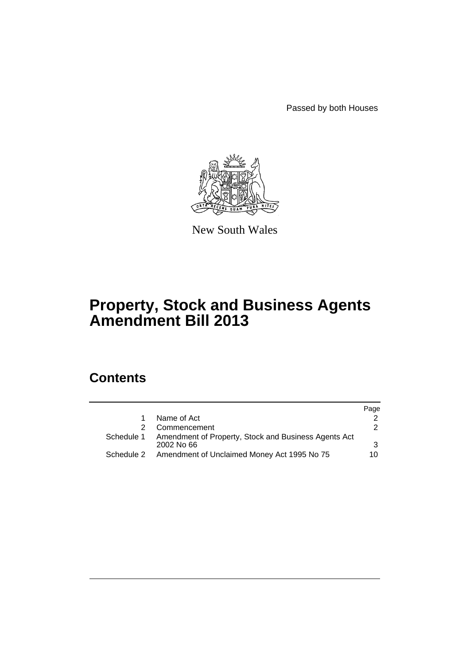Passed by both Houses



New South Wales

# **Property, Stock and Business Agents Amendment Bill 2013**

# **Contents**

|            |                                                                      | Page |
|------------|----------------------------------------------------------------------|------|
|            | Name of Act                                                          |      |
|            | Commencement                                                         | 2    |
| Schedule 1 | Amendment of Property, Stock and Business Agents Act<br>$2002$ No 66 | 3    |
| Schedule 2 | Amendment of Unclaimed Money Act 1995 No 75                          | 10   |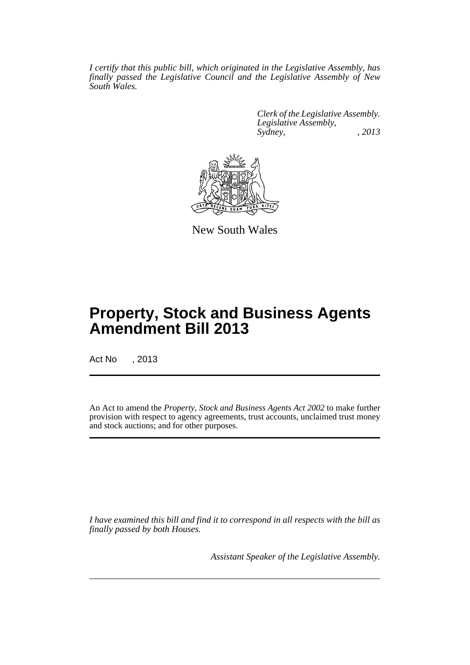*I certify that this public bill, which originated in the Legislative Assembly, has finally passed the Legislative Council and the Legislative Assembly of New South Wales.*

> *Clerk of the Legislative Assembly. Legislative Assembly, Sydney, , 2013*



New South Wales

# **Property, Stock and Business Agents Amendment Bill 2013**

Act No , 2013

An Act to amend the *Property, Stock and Business Agents Act 2002* to make further provision with respect to agency agreements, trust accounts, unclaimed trust money and stock auctions; and for other purposes.

*I have examined this bill and find it to correspond in all respects with the bill as finally passed by both Houses.*

*Assistant Speaker of the Legislative Assembly.*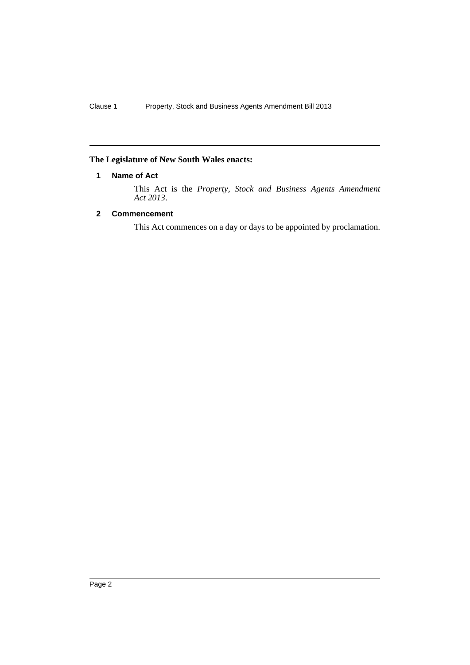## <span id="page-3-0"></span>**The Legislature of New South Wales enacts:**

## **1 Name of Act**

This Act is the *Property, Stock and Business Agents Amendment Act 2013*.

## <span id="page-3-1"></span>**2 Commencement**

This Act commences on a day or days to be appointed by proclamation.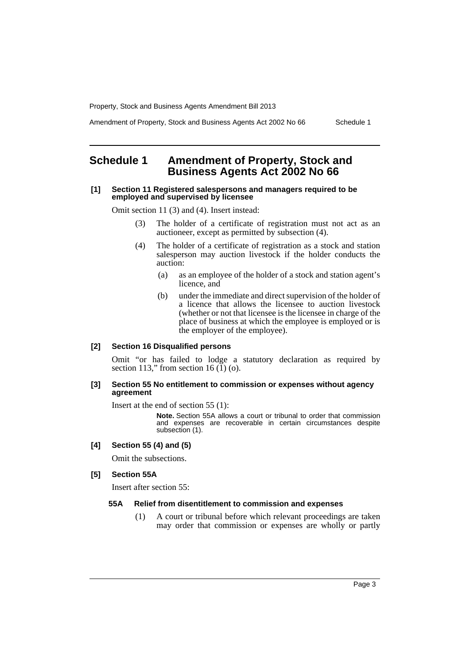Amendment of Property, Stock and Business Agents Act 2002 No 66 Schedule 1

# <span id="page-4-0"></span>**Schedule 1 Amendment of Property, Stock and Business Agents Act 2002 No 66**

### **[1] Section 11 Registered salespersons and managers required to be employed and supervised by licensee**

Omit section 11 (3) and (4). Insert instead:

- (3) The holder of a certificate of registration must not act as an auctioneer, except as permitted by subsection (4).
- (4) The holder of a certificate of registration as a stock and station salesperson may auction livestock if the holder conducts the auction:
	- (a) as an employee of the holder of a stock and station agent's licence, and
	- (b) under the immediate and direct supervision of the holder of a licence that allows the licensee to auction livestock (whether or not that licensee is the licensee in charge of the place of business at which the employee is employed or is the employer of the employee).

## **[2] Section 16 Disqualified persons**

Omit "or has failed to lodge a statutory declaration as required by section 113," from section 16  $(1)$  (o).

## **[3] Section 55 No entitlement to commission or expenses without agency agreement**

Insert at the end of section 55 (1):

**Note.** Section 55A allows a court or tribunal to order that commission and expenses are recoverable in certain circumstances despite subsection (1).

## **[4] Section 55 (4) and (5)**

Omit the subsections.

## **[5] Section 55A**

Insert after section 55:

## **55A Relief from disentitlement to commission and expenses**

(1) A court or tribunal before which relevant proceedings are taken may order that commission or expenses are wholly or partly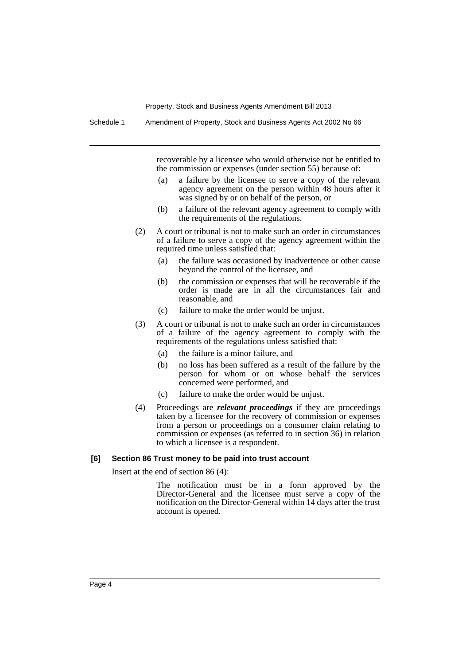Schedule 1 Amendment of Property, Stock and Business Agents Act 2002 No 66

recoverable by a licensee who would otherwise not be entitled to the commission or expenses (under section 55) because of:

- (a) a failure by the licensee to serve a copy of the relevant agency agreement on the person within 48 hours after it was signed by or on behalf of the person, or
- (b) a failure of the relevant agency agreement to comply with the requirements of the regulations.
- (2) A court or tribunal is not to make such an order in circumstances of a failure to serve a copy of the agency agreement within the required time unless satisfied that:
	- (a) the failure was occasioned by inadvertence or other cause beyond the control of the licensee, and
	- (b) the commission or expenses that will be recoverable if the order is made are in all the circumstances fair and reasonable, and
	- (c) failure to make the order would be unjust.
- (3) A court or tribunal is not to make such an order in circumstances of a failure of the agency agreement to comply with the requirements of the regulations unless satisfied that:
	- (a) the failure is a minor failure, and
	- (b) no loss has been suffered as a result of the failure by the person for whom or on whose behalf the services concerned were performed, and
	- (c) failure to make the order would be unjust.
- (4) Proceedings are *relevant proceedings* if they are proceedings taken by a licensee for the recovery of commission or expenses from a person or proceedings on a consumer claim relating to commission or expenses (as referred to in section 36) in relation to which a licensee is a respondent.

#### **[6] Section 86 Trust money to be paid into trust account**

Insert at the end of section 86 (4):

The notification must be in a form approved by the Director-General and the licensee must serve a copy of the notification on the Director-General within 14 days after the trust account is opened.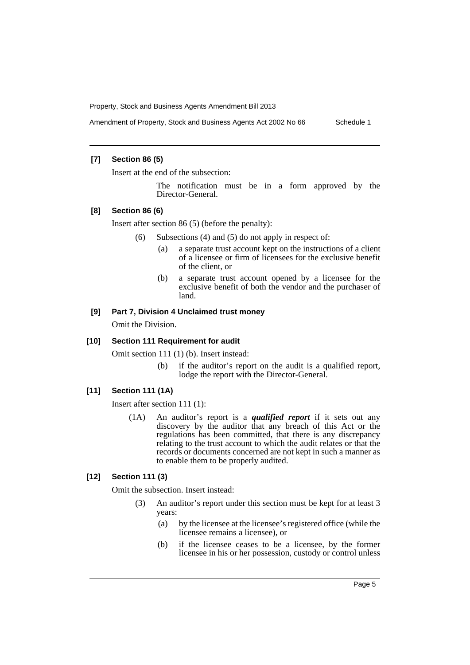Amendment of Property, Stock and Business Agents Act 2002 No 66 Schedule 1

## **[7] Section 86 (5)**

Insert at the end of the subsection:

The notification must be in a form approved by the Director-General.

#### **[8] Section 86 (6)**

Insert after section 86 (5) (before the penalty):

- (6) Subsections (4) and (5) do not apply in respect of:
	- (a) a separate trust account kept on the instructions of a client of a licensee or firm of licensees for the exclusive benefit of the client, or
	- (b) a separate trust account opened by a licensee for the exclusive benefit of both the vendor and the purchaser of land.

## **[9] Part 7, Division 4 Unclaimed trust money**

Omit the Division.

#### **[10] Section 111 Requirement for audit**

Omit section 111 (1) (b). Insert instead:

(b) if the auditor's report on the audit is a qualified report, lodge the report with the Director-General.

## **[11] Section 111 (1A)**

Insert after section 111 (1):

(1A) An auditor's report is a *qualified report* if it sets out any discovery by the auditor that any breach of this Act or the regulations has been committed, that there is any discrepancy relating to the trust account to which the audit relates or that the records or documents concerned are not kept in such a manner as to enable them to be properly audited.

## **[12] Section 111 (3)**

Omit the subsection. Insert instead:

- (3) An auditor's report under this section must be kept for at least 3 years:
	- (a) by the licensee at the licensee's registered office (while the licensee remains a licensee), or
	- (b) if the licensee ceases to be a licensee, by the former licensee in his or her possession, custody or control unless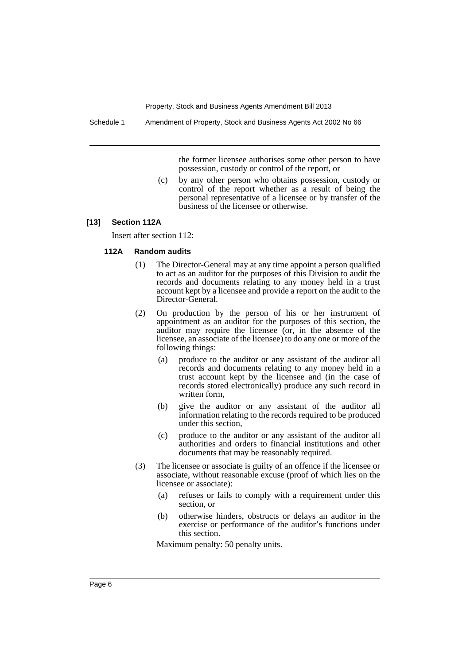Schedule 1 Amendment of Property, Stock and Business Agents Act 2002 No 66

the former licensee authorises some other person to have possession, custody or control of the report, or

(c) by any other person who obtains possession, custody or control of the report whether as a result of being the personal representative of a licensee or by transfer of the business of the licensee or otherwise.

## **[13] Section 112A**

Insert after section 112:

## **112A Random audits**

- (1) The Director-General may at any time appoint a person qualified to act as an auditor for the purposes of this Division to audit the records and documents relating to any money held in a trust account kept by a licensee and provide a report on the audit to the Director-General.
- (2) On production by the person of his or her instrument of appointment as an auditor for the purposes of this section, the auditor may require the licensee (or, in the absence of the licensee, an associate of the licensee) to do any one or more of the following things:
	- (a) produce to the auditor or any assistant of the auditor all records and documents relating to any money held in a trust account kept by the licensee and (in the case of records stored electronically) produce any such record in written form,
	- (b) give the auditor or any assistant of the auditor all information relating to the records required to be produced under this section,
	- (c) produce to the auditor or any assistant of the auditor all authorities and orders to financial institutions and other documents that may be reasonably required.
- (3) The licensee or associate is guilty of an offence if the licensee or associate, without reasonable excuse (proof of which lies on the licensee or associate):
	- (a) refuses or fails to comply with a requirement under this section, or
	- (b) otherwise hinders, obstructs or delays an auditor in the exercise or performance of the auditor's functions under this section.

Maximum penalty: 50 penalty units.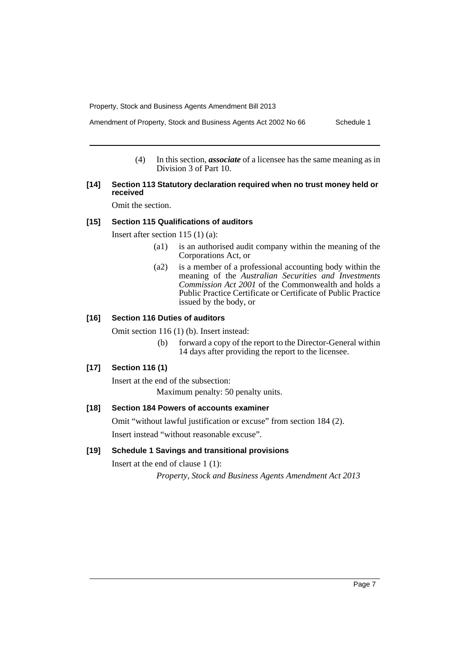Amendment of Property, Stock and Business Agents Act 2002 No 66 Schedule 1

(4) In this section, *associate* of a licensee has the same meaning as in Division 3 of Part 10.

## **[14] Section 113 Statutory declaration required when no trust money held or received**

Omit the section.

## **[15] Section 115 Qualifications of auditors**

Insert after section 115 (1) (a):

- (a1) is an authorised audit company within the meaning of the Corporations Act, or
- (a2) is a member of a professional accounting body within the meaning of the *Australian Securities and Investments Commission Act 2001* of the Commonwealth and holds a Public Practice Certificate or Certificate of Public Practice issued by the body, or

## **[16] Section 116 Duties of auditors**

Omit section 116 (1) (b). Insert instead:

(b) forward a copy of the report to the Director-General within 14 days after providing the report to the licensee.

## **[17] Section 116 (1)**

Insert at the end of the subsection: Maximum penalty: 50 penalty units.

## **[18] Section 184 Powers of accounts examiner**

Omit "without lawful justification or excuse" from section 184 (2).

Insert instead "without reasonable excuse".

## **[19] Schedule 1 Savings and transitional provisions**

Insert at the end of clause 1 (1):

*Property, Stock and Business Agents Amendment Act 2013*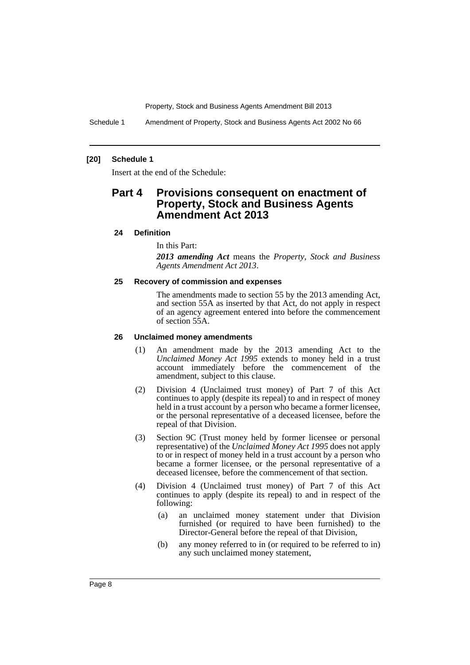Schedule 1 Amendment of Property, Stock and Business Agents Act 2002 No 66

## **[20] Schedule 1**

Insert at the end of the Schedule:

# **Part 4 Provisions consequent on enactment of Property, Stock and Business Agents Amendment Act 2013**

#### **24 Definition**

In this Part:

*2013 amending Act* means the *Property, Stock and Business Agents Amendment Act 2013*.

#### **25 Recovery of commission and expenses**

The amendments made to section 55 by the 2013 amending Act, and section 55A as inserted by that Act, do not apply in respect of an agency agreement entered into before the commencement of section 55A.

#### **26 Unclaimed money amendments**

- (1) An amendment made by the 2013 amending Act to the *Unclaimed Money Act 1995* extends to money held in a trust account immediately before the commencement of the amendment, subject to this clause.
- (2) Division 4 (Unclaimed trust money) of Part 7 of this Act continues to apply (despite its repeal) to and in respect of money held in a trust account by a person who became a former licensee, or the personal representative of a deceased licensee, before the repeal of that Division.
- (3) Section 9C (Trust money held by former licensee or personal representative) of the *Unclaimed Money Act 1995* does not apply to or in respect of money held in a trust account by a person who became a former licensee, or the personal representative of a deceased licensee, before the commencement of that section.
- (4) Division 4 (Unclaimed trust money) of Part 7 of this Act continues to apply (despite its repeal) to and in respect of the following:
	- (a) an unclaimed money statement under that Division furnished (or required to have been furnished) to the Director-General before the repeal of that Division,
	- (b) any money referred to in (or required to be referred to in) any such unclaimed money statement,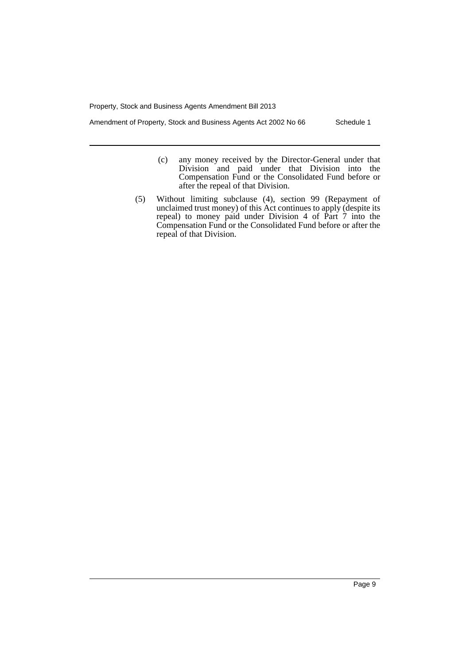Amendment of Property, Stock and Business Agents Act 2002 No 66 Schedule 1

- (c) any money received by the Director-General under that Division and paid under that Division into the Compensation Fund or the Consolidated Fund before or after the repeal of that Division.
- (5) Without limiting subclause (4), section 99 (Repayment of unclaimed trust money) of this Act continues to apply (despite its repeal) to money paid under Division 4 of Part 7 into the Compensation Fund or the Consolidated Fund before or after the repeal of that Division.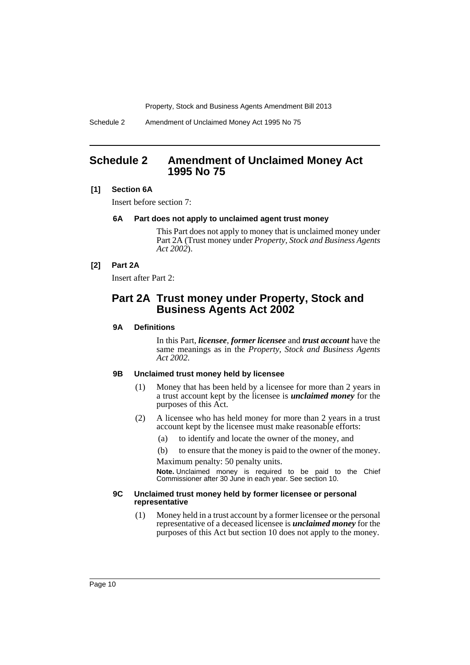Schedule 2 Amendment of Unclaimed Money Act 1995 No 75

## <span id="page-11-0"></span>**Schedule 2 Amendment of Unclaimed Money Act 1995 No 75**

## **[1] Section 6A**

Insert before section 7:

## **6A Part does not apply to unclaimed agent trust money**

This Part does not apply to money that is unclaimed money under Part 2A (Trust money under *Property, Stock and Business Agents Act 2002*).

## **[2] Part 2A**

Insert after Part 2:

## **Part 2A Trust money under Property, Stock and Business Agents Act 2002**

## **9A Definitions**

In this Part, *licensee*, *former licensee* and *trust account* have the same meanings as in the *Property, Stock and Business Agents Act 2002*.

#### **9B Unclaimed trust money held by licensee**

- (1) Money that has been held by a licensee for more than 2 years in a trust account kept by the licensee is *unclaimed money* for the purposes of this Act.
- (2) A licensee who has held money for more than 2 years in a trust account kept by the licensee must make reasonable efforts:
	- (a) to identify and locate the owner of the money, and
	- (b) to ensure that the money is paid to the owner of the money.

Maximum penalty: 50 penalty units.

**Note.** Unclaimed money is required to be paid to the Chief Commissioner after 30 June in each year. See section 10.

#### **9C Unclaimed trust money held by former licensee or personal representative**

(1) Money held in a trust account by a former licensee or the personal representative of a deceased licensee is *unclaimed money* for the purposes of this Act but section 10 does not apply to the money.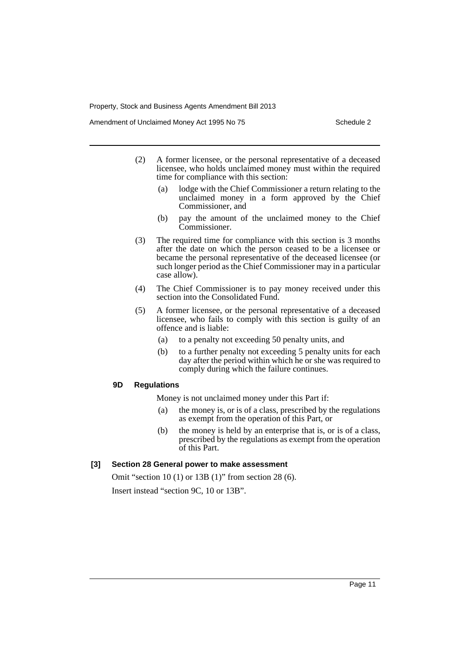Amendment of Unclaimed Money Act 1995 No 75 Schedule 2

- (2) A former licensee, or the personal representative of a deceased licensee, who holds unclaimed money must within the required time for compliance with this section:
	- (a) lodge with the Chief Commissioner a return relating to the unclaimed money in a form approved by the Chief Commissioner, and
	- (b) pay the amount of the unclaimed money to the Chief Commissioner.
- (3) The required time for compliance with this section is 3 months after the date on which the person ceased to be a licensee or became the personal representative of the deceased licensee (or such longer period as the Chief Commissioner may in a particular case allow).
- (4) The Chief Commissioner is to pay money received under this section into the Consolidated Fund.
- (5) A former licensee, or the personal representative of a deceased licensee, who fails to comply with this section is guilty of an offence and is liable:
	- (a) to a penalty not exceeding 50 penalty units, and
	- (b) to a further penalty not exceeding 5 penalty units for each day after the period within which he or she was required to comply during which the failure continues.

#### **9D Regulations**

Money is not unclaimed money under this Part if:

- (a) the money is, or is of a class, prescribed by the regulations as exempt from the operation of this Part, or
- (b) the money is held by an enterprise that is, or is of a class, prescribed by the regulations as exempt from the operation of this Part.

## **[3] Section 28 General power to make assessment**

Omit "section 10 (1) or 13B (1)" from section 28 (6). Insert instead "section 9C, 10 or 13B".